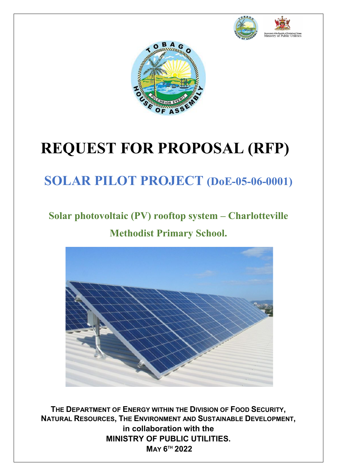



# **REQUEST FOR PROPOSAL (RFP)**

# **SOLAR PILOT PROJECT (DoE-05-06-0001)**

# **Solar photovoltaic (PV) rooftop system – Charlotteville Methodist Primary School.**



**THE DEPARTMENT OF ENERGY WITHIN THE DIVISION OF FOOD SECURITY, NATURAL RESOURCES, THE ENVIRONMENT AND SUSTAINABLE DEVELOPMENT, in collaboration with the MINISTRY OF PUBLIC UTILITIES. MAY 6TH 2022**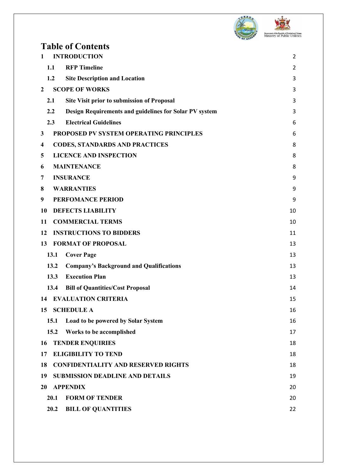

**DEST** Government of the Republic of Trinidad and Tobago<br>Ministry of Public Utilities

| <b>Table of Contents</b>                                      |                |
|---------------------------------------------------------------|----------------|
| <b>INTRODUCTION</b><br>1                                      | $\overline{2}$ |
| <b>RFP</b> Timeline<br>1.1                                    | $\overline{2}$ |
| 1.2<br><b>Site Description and Location</b>                   | 3              |
| <b>SCOPE OF WORKS</b><br>2                                    | 3              |
| 2.1<br><b>Site Visit prior to submission of Proposal</b>      | 3              |
| 2.2<br>Design Requirements and guidelines for Solar PV system | 3              |
| <b>Electrical Guidelines</b><br>2.3                           | 6              |
| PROPOSED PV SYSTEM OPERATING PRINCIPLES<br>3                  | 6              |
| <b>CODES, STANDARDS AND PRACTICES</b><br>4                    | 8              |
| <b>LICENCE AND INSPECTION</b><br>5                            | 8              |
| <b>MAINTENANCE</b><br>6                                       | 8              |
| <b>INSURANCE</b><br>7                                         | 9              |
| <b>WARRANTIES</b><br>8                                        | 9              |
| <b>PERFOMANCE PERIOD</b><br>9                                 | 9              |
| <b>DEFECTS LIABILITY</b><br>10                                | 10             |
| <b>COMMERCIAL TERMS</b><br>11                                 | 10             |
| <b>INSTRUCTIONS TO BIDDERS</b><br>12                          | 11             |
| <b>FORMAT OF PROPOSAL</b><br>13                               | 13             |
| 13.1<br><b>Cover Page</b>                                     | 13             |
| 13.2<br><b>Company's Background and Qualifications</b>        | 13             |
| 13.3<br><b>Execution Plan</b>                                 | 13             |
| 13.4<br><b>Bill of Quantities/Cost Proposal</b>               | 14             |
| 14<br><b>EVALUATION CRITERIA</b>                              | 15             |
| <b>SCHEDULE A</b><br>15                                       | 16             |
| Load to be powered by Solar System<br>15.1                    | 16             |
| 15.2<br>Works to be accomplished                              | 17             |
| <b>TENDER ENQUIRIES</b><br>16                                 | 18             |
| <b>ELIGIBILITY TO TEND</b><br>17                              | 18             |
| <b>CONFIDENTIALITY AND RESERVED RIGHTS</b><br>18              | 18             |
| 19<br><b>SUBMISSION DEADLINE AND DETAILS</b>                  | 19             |
| <b>APPENDIX</b><br>20                                         | 20             |
| 20.1<br><b>FORM OF TENDER</b>                                 | 20             |
| 20.2<br><b>BILL OF QUANTITIES</b>                             | 22             |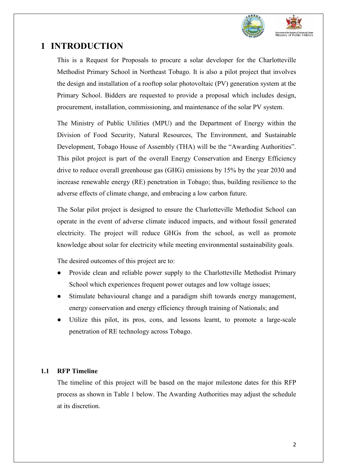

### <span id="page-2-0"></span>**1 INTRODUCTION**

This is a Request for Proposals to procure a solar developer for the Charlotteville Methodist Primary School in Northeast Tobago. It is also a pilot project that involves the design and installation of a rooftop solar photovoltaic (PV) generation system at the Primary School. Bidders are requested to provide a proposal which includes design, procurement, installation, commissioning, and maintenance of the solar PV system.

The Ministry of Public Utilities (MPU) and the Department of Energy within the Division of Food Security, Natural Resources, The Environment, and Sustainable Development, Tobago House of Assembly (THA) will be the "Awarding Authorities". This pilot project is part of the overall Energy Conservation and Energy Efficiency drive to reduce overall greenhouse gas (GHG) emissions by 15% by the year 2030 and increase renewable energy (RE) penetration in Tobago; thus, building resilience to the adverse effects of climate change, and embracing a low carbon future.

The Solar pilot project is designed to ensure the Charlotteville Methodist School can operate in the event of adverse climate induced impacts, and without fossil generated electricity. The project will reduce GHGs from the school, as well as promote knowledge about solar for electricity while meeting environmental sustainability goals.

The desired outcomes of this project are to:

- Provide clean and reliable power supply to the Charlotteville Methodist Primary School which experiences frequent power outages and low voltage issues;
- Stimulate behavioural change and a paradigm shift towards energy management, energy conservation and energy efficiency through training of Nationals; and
- Utilize this pilot, its pros, cons, and lessons learnt, to promote a large-scale penetration of RE technology across Tobago.

#### <span id="page-2-1"></span>**1.1 RFP Timeline**

The timeline of this project will be based on the major milestone dates for this RFP process as shown in Table 1 below. The Awarding Authorities may adjust the schedule at its discretion.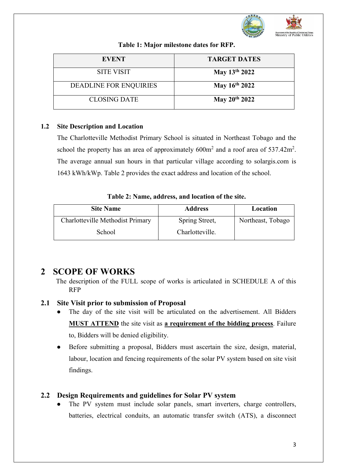

| <b>EVENT</b>                  | <b>TARGET DATES</b>       |
|-------------------------------|---------------------------|
| <b>SITE VISIT</b>             | May 13th 2022             |
| <b>DEADLINE FOR ENQUIRIES</b> | May 16th 2022             |
| <b>CLOSING DATE</b>           | May 20 <sup>th</sup> 2022 |

#### **Table 1: Major milestone dates for RFP.**

#### <span id="page-3-0"></span>**1.2 Site Description and Location**

The Charlotteville Methodist Primary School is situated in Northeast Tobago and the school the property has an area of approximately  $600m^2$  and a roof area of  $537.42m^2$ . The average annual sun hours in that particular village according to solargis.com is 1643 kWh/kWp. Table 2 provides the exact address and location of the school.

**Table 2: Name, address, and location of the site.** 

| <b>Site Name</b>                 | <b>Address</b>  | Location          |
|----------------------------------|-----------------|-------------------|
| Charlotteville Methodist Primary | Spring Street,  | Northeast, Tobago |
| School                           | Charlotteville. |                   |

## <span id="page-3-1"></span>**2 SCOPE OF WORKS**

The description of the FULL scope of works is articulated in SCHEDULE A of this RFP

### <span id="page-3-2"></span>**2.1 Site Visit prior to submission of Proposal**

- The day of the site visit will be articulated on the advertisement. All Bidders **MUST ATTEND** the site visit as **a requirement of the bidding process**. Failure to, Bidders will be denied eligibility.
- Before submitting a proposal, Bidders must ascertain the size, design, material, labour, location and fencing requirements of the solar PV system based on site visit findings.

### <span id="page-3-3"></span>**2.2 Design Requirements and guidelines for Solar PV system**

The PV system must include solar panels, smart inverters, charge controllers, batteries, electrical conduits, an automatic transfer switch (ATS), a disconnect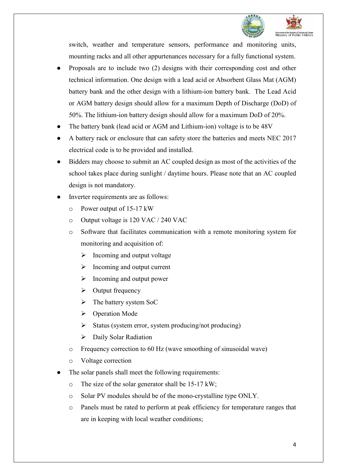

switch, weather and temperature sensors, performance and monitoring units, mounting racks and all other appurtenances necessary for a fully functional system.

- Proposals are to include two (2) designs with their corresponding cost and other technical information. One design with a lead acid or Absorbent Glass Mat (AGM) battery bank and the other design with a lithium-ion battery bank. The Lead Acid or AGM battery design should allow for a maximum Depth of Discharge (DoD) of 50%. The lithium-ion battery design should allow for a maximum DoD of 20%.
- The battery bank (lead acid or AGM and Lithium-ion) voltage is to be 48V
- A battery rack or enclosure that can safety store the batteries and meets NEC 2017 electrical code is to be provided and installed.
- Bidders may choose to submit an AC coupled design as most of the activities of the school takes place during sunlight / daytime hours. Please note that an AC coupled design is not mandatory.
- Inverter requirements are as follows:
	- o Power output of 15-17 kW
	- o Output voltage is 120 VAC / 240 VAC
	- o Software that facilitates communication with a remote monitoring system for monitoring and acquisition of:
		- $\triangleright$  Incoming and output voltage
		- $\triangleright$  Incoming and output current
		- $\triangleright$  Incoming and output power
		- $\triangleright$  Output frequency
		- $\triangleright$  The battery system SoC
		- ▶ Operation Mode
		- $\triangleright$  Status (system error, system producing/not producing)
		- $\triangleright$  Daily Solar Radiation
	- o Frequency correction to 60 Hz (wave smoothing of sinusoidal wave)
	- o Voltage correction
- The solar panels shall meet the following requirements:
	- o The size of the solar generator shall be 15-17 kW;
	- o Solar PV modules should be of the mono-crystalline type ONLY.
	- o Panels must be rated to perform at peak efficiency for temperature ranges that are in keeping with local weather conditions;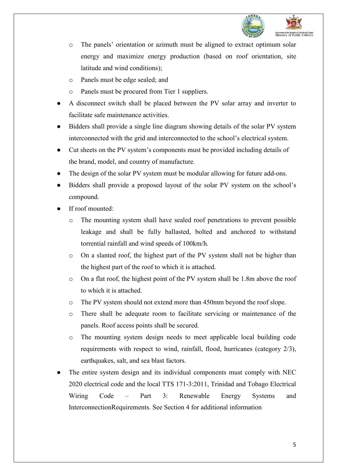

- o The panels' orientation or azimuth must be aligned to extract optimum solar energy and maximize energy production (based on roof orientation, site latitude and wind conditions);
- o Panels must be edge sealed; and
- o Panels must be procured from Tier 1 suppliers.
- A disconnect switch shall be placed between the PV solar array and inverter to facilitate safe maintenance activities.
- Bidders shall provide a single line diagram showing details of the solar PV system interconnected with the grid and interconnected to the school's electrical system.
- Cut sheets on the PV system's components must be provided including details of the brand, model, and country of manufacture.
- The design of the solar PV system must be modular allowing for future add-ons.
- Bidders shall provide a proposed layout of the solar PV system on the school's compound.
- If roof mounted:
	- The mounting system shall have sealed roof penetrations to prevent possible leakage and shall be fully ballasted, bolted and anchored to withstand torrential rainfall and wind speeds of 100km/h.
	- o On a slanted roof, the highest part of the PV system shall not be higher than the highest part of the roof to which it is attached.
	- o On a flat roof, the highest point of the PV system shall be 1.8m above the roof to which it is attached.
	- o The PV system should not extend more than 450mm beyond the roof slope.
	- o There shall be adequate room to facilitate servicing or maintenance of the panels. Roof access points shall be secured.
	- o The mounting system design needs to meet applicable local building code requirements with respect to wind, rainfall, flood, hurricanes (category 2/3), earthquakes, salt, and sea blast factors.
- The entire system design and its individual components must comply with NEC 2020 electrical code and the local TTS 171-3:2011, Trinidad and Tobago Electrical Wiring Code – Part 3: Renewable Energy Systems and InterconnectionRequirements. See Section 4 for additional information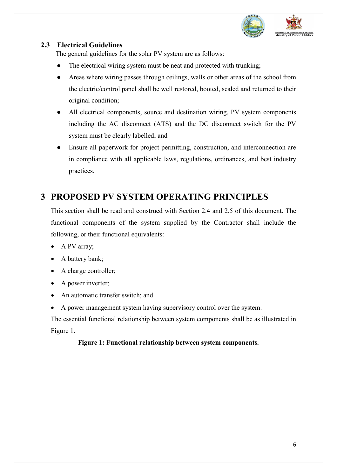

### <span id="page-6-0"></span>**2.3 Electrical Guidelines**

The general guidelines for the solar PV system are as follows:

- The electrical wiring system must be neat and protected with trunking;
- Areas where wiring passes through ceilings, walls or other areas of the school from the electric/control panel shall be well restored, booted, sealed and returned to their original condition;
- All electrical components, source and destination wiring, PV system components including the AC disconnect (ATS) and the DC disconnect switch for the PV system must be clearly labelled; and
- Ensure all paperwork for project permitting, construction, and interconnection are in compliance with all applicable laws, regulations, ordinances, and best industry practices.

# <span id="page-6-1"></span>**3 PROPOSED PV SYSTEM OPERATING PRINCIPLES**

This section shall be read and construed with Section 2.4 and 2.5 of this document. The functional components of the system supplied by the Contractor shall include the following, or their functional equivalents:

- A PV array;
- A battery bank;
- A charge controller;
- A power inverter;
- An automatic transfer switch; and
- A power management system having supervisory control over the system.

The essential functional relationship between system components shall be as illustrated in Figure 1.

#### **Figure 1: Functional relationship between system components.**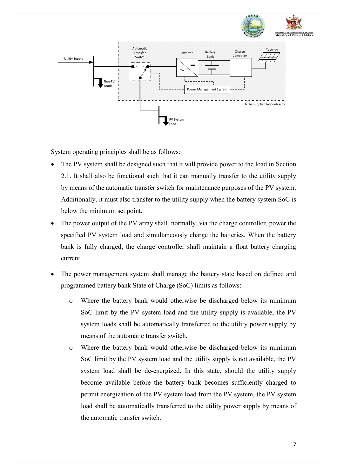

System operating principles shall be as follows:

- The PV system shall be designed such that it will provide power to the load in Section 2.1. It shall also be functional such that it can manually transfer to the utility supply by means of the automatic transfer switch for maintenance purposes of the PV system. Additionally, it must also transfer to the utility supply when the battery system SoC is below the minimum set point.
- The power output of the PV array shall, normally, via the charge controller, power the specified PV system load and simultaneously charge the batteries. When the battery bank is fully charged, the charge controller shall maintain a float battery charging current.
- The power management system shall manage the battery state based on defined and programmed battery bank State of Charge (SoC) limits as follows:
	- o Where the battery bank would otherwise be discharged below its minimum SoC limit by the PV system load and the utility supply is available, the PV system loads shall be automatically transferred to the utility power supply by means of the automatic transfer switch.
	- o Where the battery bank would otherwise be discharged below its minimum SoC limit by the PV system load and the utility supply is not available, the PV system load shall be de-energized. In this state, should the utility supply become available before the battery bank becomes sufficiently charged to permit energization of the PV system load from the PV system, the PV system load shall be automatically transferred to the utility power supply by means of the automatic transfer switch.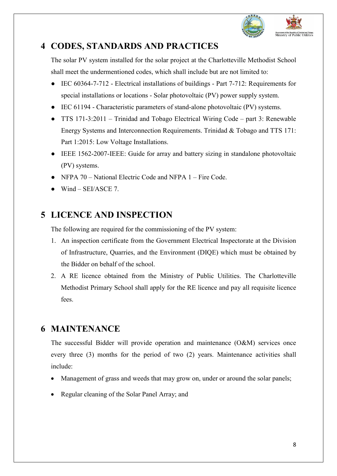

# <span id="page-8-0"></span>**4 CODES, STANDARDS AND PRACTICES**

The solar PV system installed for the solar project at the Charlotteville Methodist School shall meet the undermentioned codes, which shall include but are not limited to:

- IEC 60364-7-712 Electrical installations of buildings Part 7-712: Requirements for special installations or locations - Solar photovoltaic (PV) power supply system.
- IEC 61194 Characteristic parameters of stand-alone photovoltaic (PV) systems.
- TTS 171-3:2011 Trinidad and Tobago Electrical Wiring Code part 3: Renewable Energy Systems and Interconnection Requirements. Trinidad & Tobago and TTS 171: Part 1:2015: Low Voltage Installations.
- IEEE 1562-2007-IEEE: Guide for array and battery sizing in standalone photovoltaic (PV) systems.
- NFPA 70 National Electric Code and NFPA 1 Fire Code.
- $\bullet$  Wind SEI/ASCE 7.

# <span id="page-8-1"></span>**5 LICENCE AND INSPECTION**

The following are required for the commissioning of the PV system:

- 1. An inspection certificate from the Government Electrical Inspectorate at the Division of Infrastructure, Quarries, and the Environment (DIQE) which must be obtained by the Bidder on behalf of the school.
- 2. A RE licence obtained from the Ministry of Public Utilities. The Charlotteville Methodist Primary School shall apply for the RE licence and pay all requisite licence fees.

# <span id="page-8-2"></span>**6 MAINTENANCE**

The successful Bidder will provide operation and maintenance (O&M) services once every three (3) months for the period of two (2) years. Maintenance activities shall include:

- Management of grass and weeds that may grow on, under or around the solar panels;
- Regular cleaning of the Solar Panel Array; and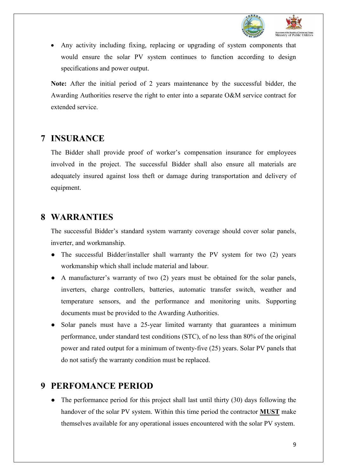

• Any activity including fixing, replacing or upgrading of system components that would ensure the solar PV system continues to function according to design specifications and power output.

**Note:** After the initial period of 2 years maintenance by the successful bidder, the Awarding Authorities reserve the right to enter into a separate O&M service contract for extended service.

### <span id="page-9-0"></span>**7 INSURANCE**

The Bidder shall provide proof of worker's compensation insurance for employees involved in the project. The successful Bidder shall also ensure all materials are adequately insured against loss theft or damage during transportation and delivery of equipment.

### <span id="page-9-1"></span>**8 WARRANTIES**

The successful Bidder's standard system warranty coverage should cover solar panels, inverter, and workmanship.

- The successful Bidder/installer shall warranty the PV system for two (2) years workmanship which shall include material and labour.
- A manufacturer's warranty of two (2) years must be obtained for the solar panels, inverters, charge controllers, batteries, automatic transfer switch, weather and temperature sensors, and the performance and monitoring units. Supporting documents must be provided to the Awarding Authorities.
- Solar panels must have a 25-year limited warranty that guarantees a minimum performance, under standard test conditions (STC), of no less than 80% of the original power and rated output for a minimum of twenty-five (25) years. Solar PV panels that do not satisfy the warranty condition must be replaced.

### <span id="page-9-2"></span>**9 PERFOMANCE PERIOD**

• The performance period for this project shall last until thirty (30) days following the handover of the solar PV system. Within this time period the contractor **MUST** make themselves available for any operational issues encountered with the solar PV system.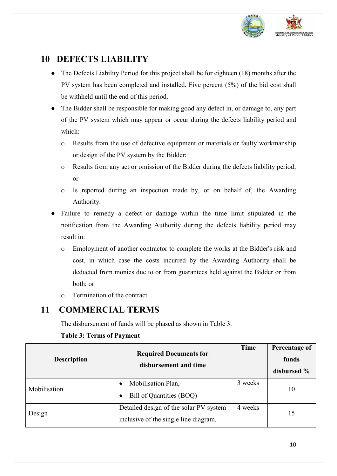

# <span id="page-10-0"></span>**10 DEFECTS LIABILITY**

- The Defects Liability Period for this project shall be for eighteen (18) months after the PV system has been completed and installed. Five percent (5%) of the bid cost shall be withheld until the end of this period.
- The Bidder shall be responsible for making good any defect in, or damage to, any part of the PV system which may appear or occur during the defects liability period and which:
	- o Results from the use of defective equipment or materials or faulty workmanship or design of the PV system by the Bidder;
	- o Results from any act or omission of the Bidder during the defects liability period; or
	- o Is reported during an inspection made by, or on behalf of, the Awarding Authority.
- Failure to remedy a defect or damage within the time limit stipulated in the notification from the Awarding Authority during the defects liability period may result in:
	- o Employment of another contractor to complete the works at the Bidder's risk and cost, in which case the costs incurred by the Awarding Authority shall be deducted from monies due to or from guarantees held against the Bidder or from both; or
	- o Termination of the contract.

# **11 COMMERCIAL TERMS**

<span id="page-10-1"></span>The disbursement of funds will be phased as shown in Table 3.

| <b>Required Documents for</b><br><b>Description</b><br>disbursement and time |                                                                                 | <b>Time</b> | Percentage of<br>funds<br>disbursed % |
|------------------------------------------------------------------------------|---------------------------------------------------------------------------------|-------------|---------------------------------------|
| Mobilisation                                                                 | Mobilisation Plan,<br>$\bullet$<br>Bill of Quantities (BOQ)                     | 3 weeks     | 10                                    |
| Design                                                                       | Detailed design of the solar PV system<br>inclusive of the single line diagram. | 4 weeks     | 15                                    |

#### **Table 3: Terms of Payment**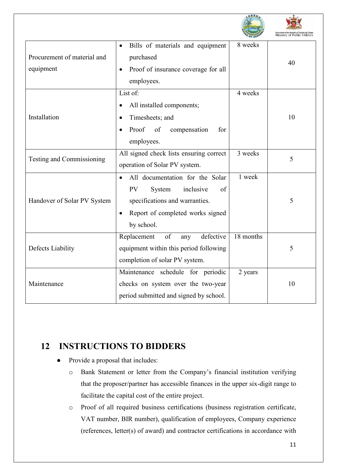|                                          |                                                                                                                                                                                         |           | Ministry of Public Utilities |
|------------------------------------------|-----------------------------------------------------------------------------------------------------------------------------------------------------------------------------------------|-----------|------------------------------|
| Procurement of material and<br>equipment | Bills of materials and equipment<br>$\bullet$<br>purchased<br>Proof of insurance coverage for all<br>$\bullet$<br>employees.                                                            | 8 weeks   | 40                           |
| Installation                             | List of:<br>All installed components;<br>$\bullet$<br>Timesheets; and<br>$\bullet$<br>Proof<br>of<br>compensation<br>for<br>$\bullet$<br>employees.                                     | 4 weeks   | 10                           |
| Testing and Commissioning                | All signed check lists ensuring correct<br>operation of Solar PV system.                                                                                                                | 3 weeks   | 5                            |
| Handover of Solar PV System              | All documentation for the Solar<br>$\bullet$<br><b>PV</b><br>inclusive<br>of<br>System<br>specifications and warranties.<br>Report of completed works signed<br>$\bullet$<br>by school. | 1 week    | 5                            |
| Defects Liability                        | Replacement<br>of<br>defective<br>any<br>equipment within this period following<br>completion of solar PV system.                                                                       | 18 months | 5                            |
| Maintenance                              | Maintenance schedule for periodic<br>checks on system over the two-year<br>period submitted and signed by school.                                                                       | 2 years   | 10                           |

# **12 INSTRUCTIONS TO BIDDERS**

- <span id="page-11-0"></span>Provide a proposal that includes:
	- o Bank Statement or letter from the Company's financial institution verifying that the proposer/partner has accessible finances in the upper six-digit range to facilitate the capital cost of the entire project.
	- o Proof of all required business certifications (business registration certificate, VAT number, BIR number), qualification of employees, Company experience (references, letter(s) of award) and contractor certifications in accordance with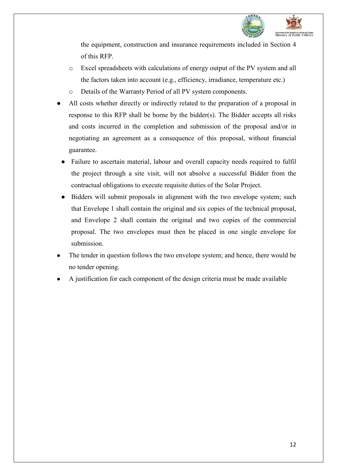

the equipment, construction and insurance requirements included in Section 4 of this RFP.

- o Excel spreadsheets with calculations of energy output of the PV system and all the factors taken into account (e.g., efficiency, irradiance, temperature etc.)
- o Details of the Warranty Period of all PV system components.
- All costs whether directly or indirectly related to the preparation of a proposal in response to this RFP shall be borne by the bidder(s). The Bidder accepts all risks and costs incurred in the completion and submission of the proposal and/or in negotiating an agreement as a consequence of this proposal, without financial guarantee.
	- Failure to ascertain material, labour and overall capacity needs required to fulfil the project through a site visit, will not absolve a successful Bidder from the contractual obligations to execute requisite duties of the Solar Project.
- Bidders will submit proposals in alignment with the two envelope system; such that Envelope 1 shall contain the original and six copies of the technical proposal, and Envelope 2 shall contain the original and two copies of the commercial proposal. The two envelopes must then be placed in one single envelope for submission.
- The tender in question follows the two envelope system; and hence, there would be no tender opening.
- A justification for each component of the design criteria must be made available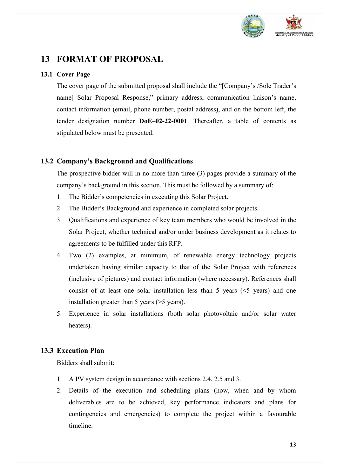

# <span id="page-13-0"></span>**13 FORMAT OF PROPOSAL**

#### <span id="page-13-1"></span>**13.1 Cover Page**

The cover page of the submitted proposal shall include the "[Company's /Sole Trader's name] Solar Proposal Response," primary address, communication liaison's name, contact information (email, phone number, postal address), and on the bottom left, the tender designation number **DoE–02-22-0001**. Thereafter, a table of contents as stipulated below must be presented.

#### <span id="page-13-2"></span>**13.2 Company's Background and Qualifications**

The prospective bidder will in no more than three (3) pages provide a summary of the company's background in this section. This must be followed by a summary of:

- 1. The Bidder's competencies in executing this Solar Project.
- 2. The Bidder's Background and experience in completed solar projects.
- 3. Qualifications and experience of key team members who would be involved in the Solar Project, whether technical and/or under business development as it relates to agreements to be fulfilled under this RFP.
- 4. Two (2) examples, at minimum, of renewable energy technology projects undertaken having similar capacity to that of the Solar Project with references (inclusive of pictures) and contact information (where necessary). References shall consist of at least one solar installation less than 5 years  $(5 \text{ years})$  and one installation greater than 5 years (>5 years).
- 5. Experience in solar installations (both solar photovoltaic and/or solar water heaters).

### <span id="page-13-3"></span>**13.3 Execution Plan**

Bidders shall submit:

- 1. A PV system design in accordance with sections 2.4, 2.5 and 3.
- 2. Details of the execution and scheduling plans (how, when and by whom deliverables are to be achieved, key performance indicators and plans for contingencies and emergencies) to complete the project within a favourable timeline.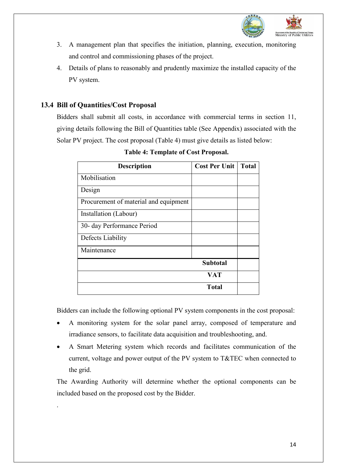

- 3. A management plan that specifies the initiation, planning, execution, monitoring and control and commissioning phases of the project.
- 4. Details of plans to reasonably and prudently maximize the installed capacity of the PV system.

### <span id="page-14-0"></span>**13.4 Bill of Quantities/Cost Proposal**

.

Bidders shall submit all costs, in accordance with commercial terms in section 11, giving details following the Bill of Quantities table (See Appendix) associated with the Solar PV project. The cost proposal (Table 4) must give details as listed below:

| <b>Description</b>                    | <b>Cost Per Unit</b> | <b>Total</b> |
|---------------------------------------|----------------------|--------------|
| Mobilisation                          |                      |              |
| Design                                |                      |              |
| Procurement of material and equipment |                      |              |
| Installation (Labour)                 |                      |              |
| 30- day Performance Period            |                      |              |
| Defects Liability                     |                      |              |
| Maintenance                           |                      |              |
|                                       | <b>Subtotal</b>      |              |
|                                       | <b>VAT</b>           |              |
|                                       | <b>Total</b>         |              |

**Table 4: Template of Cost Proposal.**

Bidders can include the following optional PV system components in the cost proposal:

- A monitoring system for the solar panel array, composed of temperature and irradiance sensors, to facilitate data acquisition and troubleshooting, and.
- A Smart Metering system which records and facilitates communication of the current, voltage and power output of the PV system to T&TEC when connected to the grid.

The Awarding Authority will determine whether the optional components can be included based on the proposed cost by the Bidder.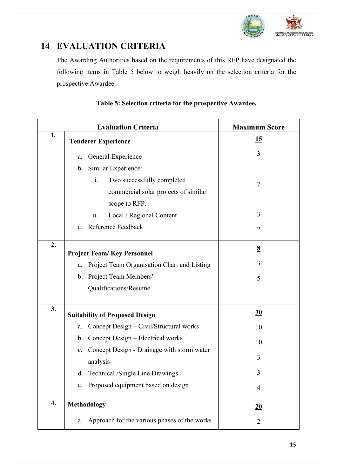

# <span id="page-15-0"></span>**14 EVALUATION CRITERIA**

The Awarding Authorities based on the requirements of this RFP have designated the following items in Table 5 below to weigh heavily on the selection criteria for the prospective Awardee.

|    | <b>Evaluation Criteria</b>                        | <b>Maximum Score</b> |
|----|---------------------------------------------------|----------------------|
| 1. | <b>Tenderer Experience</b>                        | <u>15</u>            |
|    | General Experience<br>a.                          | 3                    |
|    | b. Similar Experience:                            |                      |
|    | Two successfully completed<br>i.                  | $\tau$               |
|    | commercial solar projects of similar              |                      |
|    | scope to RFP.                                     |                      |
|    | Local / Regional Content<br>ii.                   | 3                    |
|    | c. Reference Feedback                             | $\overline{2}$       |
| 2. | <b>Project Team/Key Personnel</b>                 | $\underline{8}$      |
|    |                                                   | 3                    |
|    | Project Team Organisation Chart and Listing<br>a. |                      |
|    | Project Team Members'<br>$\mathbf b$ .            | 5                    |
|    | Qualifications/Resume                             |                      |
| 3. | <b>Suitability of Proposed Design</b>             | 30                   |
|    | Concept Design – Civil/Structural works<br>a.     | 10                   |
|    | b. Concept Design - Electrical works              | 10                   |
|    | c. Concept Design - Drainage with storm water     | 3                    |
|    | analysis                                          |                      |
|    | d. Technical /Single Line Drawings                | 3                    |
|    | e. Proposed equipment based on design             | $\overline{4}$       |
| 4. | <b>Methodology</b>                                | 20                   |
|    | a. Approach for the various phases of the works   | 2                    |

#### **Table 5: Selection criteria for the prospective Awardee.**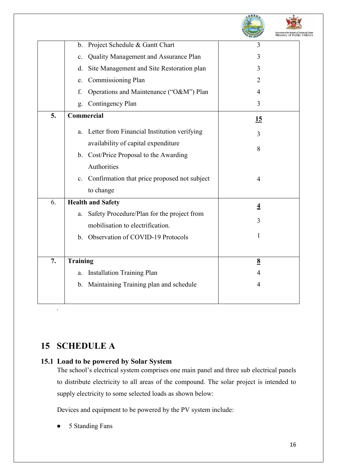|    |                                                         |           | Ministry of Public Utilities |
|----|---------------------------------------------------------|-----------|------------------------------|
|    | Project Schedule & Gantt Chart<br>b.                    | 3         |                              |
|    | Quality Management and Assurance Plan<br>$\mathbf{c}$ . | 3         |                              |
|    | Site Management and Site Restoration plan<br>d.         | 3         |                              |
|    | Commissioning Plan<br>e.                                | 2         |                              |
|    | Operations and Maintenance ("O&M") Plan<br>f.           | 4         |                              |
|    | Contingency Plan<br>g.                                  | 3         |                              |
| 5. | Commercial                                              | <u>15</u> |                              |
|    | Letter from Financial Institution verifying<br>a.       | 3         |                              |
|    | availability of capital expenditure                     | 8         |                              |
|    | b. Cost/Price Proposal to the Awarding                  |           |                              |
|    | Authorities                                             |           |                              |
|    | c. Confirmation that price proposed not subject         | 4         |                              |
|    | to change                                               |           |                              |
| 6. | <b>Health and Safety</b>                                | 4         |                              |
|    | Safety Procedure/Plan for the project from<br>a.        |           |                              |
|    | mobilisation to electrification.                        | 3         |                              |
|    | b. Observation of COVID-19 Protocols                    | 1         |                              |
| 7. | <b>Training</b>                                         | 8         |                              |
|    | <b>Installation Training Plan</b><br>a.                 | 4         |                              |
|    | b. Maintaining Training plan and schedule               | 4         |                              |
|    |                                                         |           |                              |

**T. O. Bullion C. C.** 

**NASA** 

## <span id="page-16-0"></span>**15 SCHEDULE A**

#### <span id="page-16-1"></span>**15.1 Load to be powered by Solar System**

The school's electrical system comprises one main panel and three sub electrical panels to distribute electricity to all areas of the compound. The solar project is intended to supply electricity to some selected loads as shown below:

Devices and equipment to be powered by the PV system include:

5 Standing Fans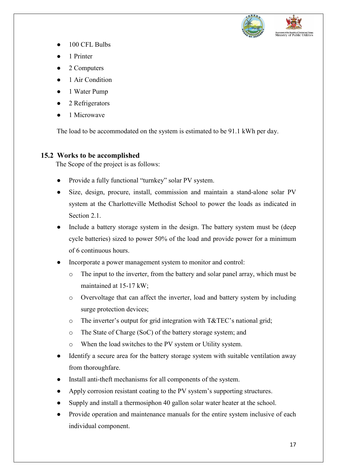

- 100 CFL Bulbs
- 1 Printer
- 2 Computers
- 1 Air Condition
- 1 Water Pump
- 2 Refrigerators
- 1 Microwave

The load to be accommodated on the system is estimated to be 91.1 kWh per day.

#### <span id="page-17-0"></span>**15.2 Works to be accomplished**

The Scope of the project is as follows:

- Provide a fully functional "turnkey" solar PV system.
- Size, design, procure, install, commission and maintain a stand-alone solar PV system at the Charlotteville Methodist School to power the loads as indicated in Section 2.1.
- Include a battery storage system in the design. The battery system must be (deep cycle batteries) sized to power 50% of the load and provide power for a minimum of 6 continuous hours.
- Incorporate a power management system to monitor and control:
	- o The input to the inverter, from the battery and solar panel array, which must be maintained at 15-17 kW;
	- o Overvoltage that can affect the inverter, load and battery system by including surge protection devices;
	- o The inverter's output for grid integration with T&TEC's national grid;
	- o The State of Charge (SoC) of the battery storage system; and
	- o When the load switches to the PV system or Utility system.
- Identify a secure area for the battery storage system with suitable ventilation away from thoroughfare.
- Install anti-theft mechanisms for all components of the system.
- Apply corrosion resistant coating to the PV system's supporting structures.
- Supply and install a thermosiphon 40 gallon solar water heater at the school.
- Provide operation and maintenance manuals for the entire system inclusive of each individual component.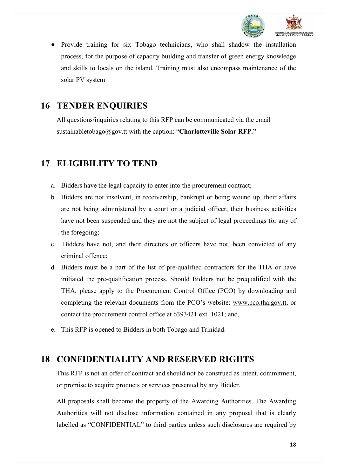

Provide training for six Tobago technicians, who shall shadow the installation process, for the purpose of capacity building and transfer of green energy knowledge and skills to locals on the island. Training must also encompass maintenance of the solar PV system

### <span id="page-18-0"></span>**16 TENDER ENQUIRIES**

All questions/inquiries relating to this RFP can be communicated via the email sustainabletobago@gov.tt with the caption: "**Charlotteville Solar RFP."**

## <span id="page-18-1"></span>**17 ELIGIBILITY TO TEND**

- a. Bidders have the legal capacity to enter into the procurement contract;
- b. Bidders are not insolvent, in receivership, bankrupt or being wound up, their affairs are not being administered by a court or a judicial officer, their business activities have not been suspended and they are not the subject of legal proceedings for any of the foregoing;
- c. Bidders have not, and their directors or officers have not, been convicted of any criminal offence;
- d. Bidders must be a part of the list of pre-qualified contractors for the THA or have initiated the pre-qualification process. Should Bidders not be prequalified with the THA, please apply to the Procurement Control Office (PCO) by downloading and completing the relevant documents from the PCO's website: [www.pco.tha.gov.tt,](http://www.pco.tha.gov.tt/) or contact the procurement control office at 6393421 ext. 1021; and,
- e. This RFP is opened to Bidders in both Tobago and Trinidad.

### <span id="page-18-2"></span>**18 CONFIDENTIALITY AND RESERVED RIGHTS**

This RFP is not an offer of contract and should not be construed as intent, commitment, or promise to acquire products or services presented by any Bidder.

All proposals shall become the property of the Awarding Authorities. The Awarding Authorities will not disclose information contained in any proposal that is clearly labelled as "CONFIDENTIAL" to third parties unless such disclosures are required by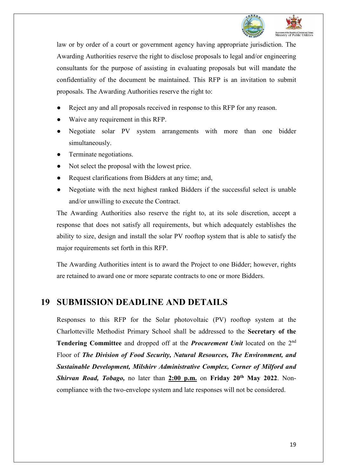

law or by order of a court or government agency having appropriate jurisdiction. The Awarding Authorities reserve the right to disclose proposals to legal and/or engineering consultants for the purpose of assisting in evaluating proposals but will mandate the confidentiality of the document be maintained. This RFP is an invitation to submit proposals. The Awarding Authorities reserve the right to:

- Reject any and all proposals received in response to this RFP for any reason.
- Waive any requirement in this RFP.
- Negotiate solar PV system arrangements with more than one bidder simultaneously.
- Terminate negotiations.
- Not select the proposal with the lowest price.
- Request clarifications from Bidders at any time; and,
- Negotiate with the next highest ranked Bidders if the successful select is unable and/or unwilling to execute the Contract.

The Awarding Authorities also reserve the right to, at its sole discretion, accept a response that does not satisfy all requirements, but which adequately establishes the ability to size, design and install the solar PV rooftop system that is able to satisfy the major requirements set forth in this RFP.

The Awarding Authorities intent is to award the Project to one Bidder; however, rights are retained to award one or more separate contracts to one or more Bidders.

### <span id="page-19-0"></span>**19 SUBMISSION DEADLINE AND DETAILS**

Responses to this RFP for the Solar photovoltaic (PV) rooftop system at the Charlotteville Methodist Primary School shall be addressed to the **Secretary of the Tendering Committee** and dropped off at the *Procurement Unit* located on the 2nd Floor of *The Division of Food Security, Natural Resources, The Environment, and Sustainable Development, Milshirv Administrative Complex, Corner of Milford and*  **Shirvan Road, Tobago, no later than 2:00 p.m.** on **Friday 20<sup>th</sup> May 2022**. Noncompliance with the two-envelope system and late responses will not be considered.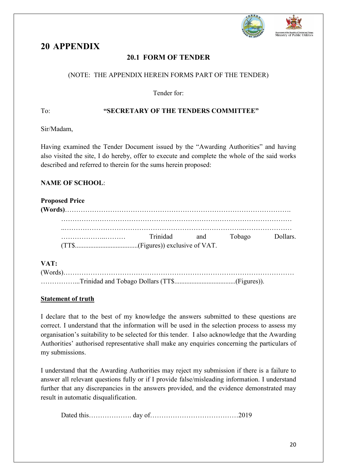

### <span id="page-20-1"></span><span id="page-20-0"></span>**20 APPENDIX**

### **20.1 FORM OF TENDER**

#### (NOTE: THE APPENDIX HEREIN FORMS PART OF THE TENDER)

Tender for:

#### To: **"SECRETARY OF THE TENDERS COMMITTEE"**

Sir/Madam,

Having examined the Tender Document issued by the "Awarding Authorities" and having also visited the site, I do hereby, offer to execute and complete the whole of the said works described and referred to therein for the sums herein proposed:

#### **NAME OF SCHOOL**:

| <b>Proposed Price</b> |              |        |          |
|-----------------------|--------------|--------|----------|
|                       |              |        |          |
|                       |              |        |          |
|                       |              |        |          |
|                       | Trinidad and | Tobago | Dollars. |
|                       |              |        |          |
|                       |              |        |          |
| VAT:                  |              |        |          |

#### **VAT:**

#### **Statement of truth**

I declare that to the best of my knowledge the answers submitted to these questions are correct. I understand that the information will be used in the selection process to assess my organisation's suitability to be selected for this tender. I also acknowledge that the Awarding Authorities' authorised representative shall make any enquiries concerning the particulars of my submissions.

I understand that the Awarding Authorities may reject my submission if there is a failure to answer all relevant questions fully or if I provide false/misleading information. I understand further that any discrepancies in the answers provided, and the evidence demonstrated may result in automatic disqualification.

Dated this………………. day of…………………………………2019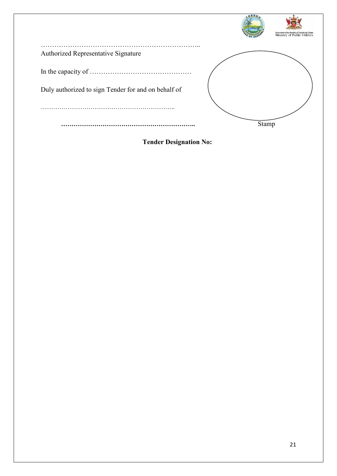|                                                     | Government of the Republic of Trinidad and Tobago<br>Ministry of Public Utilities |
|-----------------------------------------------------|-----------------------------------------------------------------------------------|
|                                                     |                                                                                   |
| Authorized Representative Signature                 |                                                                                   |
|                                                     |                                                                                   |
|                                                     |                                                                                   |
|                                                     |                                                                                   |
| Duly authorized to sign Tender for and on behalf of |                                                                                   |
|                                                     |                                                                                   |
|                                                     |                                                                                   |
|                                                     |                                                                                   |
|                                                     | Stamp                                                                             |
|                                                     |                                                                                   |

**Tender Designation No:**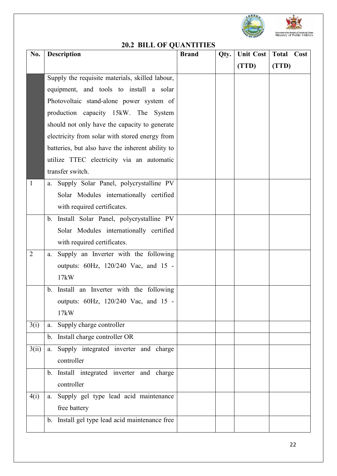



### **20.2 BILL OF QUANTITIES**

<span id="page-22-0"></span>

| No.            | <b>Description</b>                               | <b>Brand</b> | Qty. | <b>Unit Cost</b> | <b>Total Cost</b> |
|----------------|--------------------------------------------------|--------------|------|------------------|-------------------|
|                |                                                  |              |      | (TTD)            | (TTD)             |
|                | Supply the requisite materials, skilled labour,  |              |      |                  |                   |
|                | equipment, and tools to install a solar          |              |      |                  |                   |
|                | Photovoltaic stand-alone power system of         |              |      |                  |                   |
|                | production capacity 15kW. The System             |              |      |                  |                   |
|                | should not only have the capacity to generate    |              |      |                  |                   |
|                | electricity from solar with stored energy from   |              |      |                  |                   |
|                | batteries, but also have the inherent ability to |              |      |                  |                   |
|                | utilize TTEC electricity via an automatic        |              |      |                  |                   |
|                | transfer switch.                                 |              |      |                  |                   |
| 1              | a. Supply Solar Panel, polycrystalline PV        |              |      |                  |                   |
|                | Solar Modules internationally certified          |              |      |                  |                   |
|                | with required certificates.                      |              |      |                  |                   |
|                | Install Solar Panel, polycrystalline PV<br>b.    |              |      |                  |                   |
|                | Solar Modules internationally certified          |              |      |                  |                   |
|                | with required certificates.                      |              |      |                  |                   |
| $\overline{2}$ | Supply an Inverter with the following<br>a.      |              |      |                  |                   |
|                | outputs: 60Hz, 120/240 Vac, and 15 -             |              |      |                  |                   |
|                | 17kW                                             |              |      |                  |                   |
|                | Install an Inverter with the following<br>b.     |              |      |                  |                   |
|                | outputs: 60Hz, 120/240 Vac, and 15               |              |      |                  |                   |
|                | 17kW                                             |              |      |                  |                   |
| 3(i)           | a. Supply charge controller                      |              |      |                  |                   |
|                | Install charge controller OR<br>b.               |              |      |                  |                   |
| 3(ii)          | Supply integrated inverter and charge<br>a.      |              |      |                  |                   |
|                | controller                                       |              |      |                  |                   |
|                | b. Install integrated inverter and charge        |              |      |                  |                   |
|                | controller                                       |              |      |                  |                   |
| 4(i)           | a. Supply gel type lead acid maintenance         |              |      |                  |                   |
|                | free battery                                     |              |      |                  |                   |
|                | b. Install gel type lead acid maintenance free   |              |      |                  |                   |
|                |                                                  |              |      |                  |                   |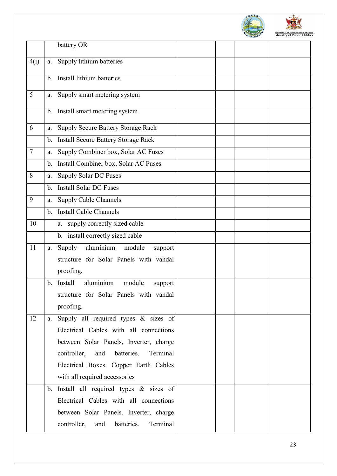



|        |         | battery OR                                   |  |  |
|--------|---------|----------------------------------------------|--|--|
| 4(i)   | a.      | Supply lithium batteries                     |  |  |
|        |         | b. Install lithium batteries                 |  |  |
| 5      | a.      | Supply smart metering system                 |  |  |
|        |         | b. Install smart metering system             |  |  |
| 6      | a.      | <b>Supply Secure Battery Storage Rack</b>    |  |  |
|        | b.      | <b>Install Secure Battery Storage Rack</b>   |  |  |
| $\tau$ | a.      | Supply Combiner box, Solar AC Fuses          |  |  |
|        | b.      | Install Combiner box, Solar AC Fuses         |  |  |
| 8      | a.      | <b>Supply Solar DC Fuses</b>                 |  |  |
|        | b.      | <b>Install Solar DC Fuses</b>                |  |  |
| 9      | a.      | <b>Supply Cable Channels</b>                 |  |  |
|        | $b_{-}$ | <b>Install Cable Channels</b>                |  |  |
| 10     |         | supply correctly sized cable<br>а.           |  |  |
|        |         | b. install correctly sized cable             |  |  |
| 11     | a.      | Supply aluminium<br>module<br>support        |  |  |
|        |         | structure for Solar Panels with vandal       |  |  |
|        |         | proofing.                                    |  |  |
|        | b.      | aluminium<br>Install<br>module<br>support    |  |  |
|        |         | structure for Solar Panels with vandal       |  |  |
|        |         | proofing.                                    |  |  |
| 12     | a.      | Supply all required types & sizes of         |  |  |
|        |         | Electrical Cables with all connections       |  |  |
|        |         | between Solar Panels, Inverter, charge       |  |  |
|        |         | controller, and<br>batteries.<br>Terminal    |  |  |
|        |         | Electrical Boxes. Copper Earth Cables        |  |  |
|        |         | with all required accessories                |  |  |
|        |         | b. Install all required types & sizes of     |  |  |
|        |         | Electrical Cables with all connections       |  |  |
|        |         | between Solar Panels, Inverter, charge       |  |  |
|        |         | controller,<br>batteries.<br>Terminal<br>and |  |  |